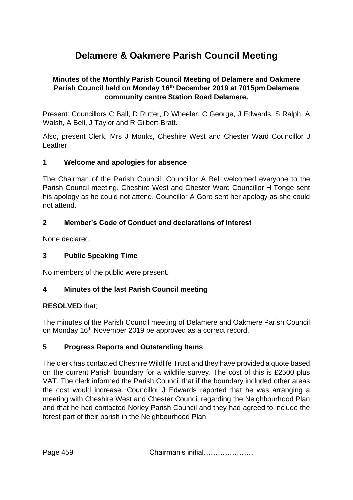# **Delamere & Oakmere Parish Council Meeting**

## **Minutes of the Monthly Parish Council Meeting of Delamere and Oakmere Parish Council held on Monday 16th December 2019 at 7015pm Delamere community centre Station Road Delamere.**

Present: Councillors C Ball, D Rutter, D Wheeler, C George, J Edwards, S Ralph, A Walsh, A Bell, J Taylor and R Gilbert-Bratt.

Also, present Clerk, Mrs J Monks, Cheshire West and Chester Ward Councillor J Leather.

## **1 Welcome and apologies for absence**

The Chairman of the Parish Council, Councillor A Bell welcomed everyone to the Parish Council meeting. Cheshire West and Chester Ward Councillor H Tonge sent his apology as he could not attend. Councillor A Gore sent her apology as she could not attend.

## **2 Member's Code of Conduct and declarations of interest**

None declared.

## **3 Public Speaking Time**

No members of the public were present.

## **4 Minutes of the last Parish Council meeting**

## **RESOLVED** that;

The minutes of the Parish Council meeting of Delamere and Oakmere Parish Council on Monday 16<sup>th</sup> November 2019 be approved as a correct record.

## **5 Progress Reports and Outstanding Items**

The clerk has contacted Cheshire Wildlife Trust and they have provided a quote based on the current Parish boundary for a wildlife survey. The cost of this is £2500 plus VAT. The clerk informed the Parish Council that if the boundary included other areas the cost would increase. Councillor J Edwards reported that he was arranging a meeting with Cheshire West and Chester Council regarding the Neighbourhood Plan and that he had contacted Norley Parish Council and they had agreed to include the forest part of their parish in the Neighbourhood Plan.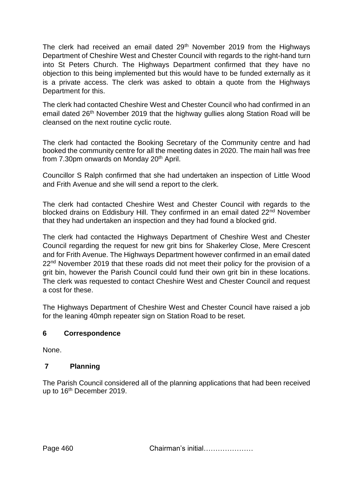The clerk had received an email dated 29<sup>th</sup> November 2019 from the Highways Department of Cheshire West and Chester Council with regards to the right-hand turn into St Peters Church. The Highways Department confirmed that they have no objection to this being implemented but this would have to be funded externally as it is a private access. The clerk was asked to obtain a quote from the Highways Department for this.

The clerk had contacted Cheshire West and Chester Council who had confirmed in an email dated 26<sup>th</sup> November 2019 that the highway gullies along Station Road will be cleansed on the next routine cyclic route.

The clerk had contacted the Booking Secretary of the Community centre and had booked the community centre for all the meeting dates in 2020. The main hall was free from 7.30pm onwards on Monday 20<sup>th</sup> April.

Councillor S Ralph confirmed that she had undertaken an inspection of Little Wood and Frith Avenue and she will send a report to the clerk.

The clerk had contacted Cheshire West and Chester Council with regards to the blocked drains on Eddisbury Hill. They confirmed in an email dated 22<sup>nd</sup> November that they had undertaken an inspection and they had found a blocked grid.

The clerk had contacted the Highways Department of Cheshire West and Chester Council regarding the request for new grit bins for Shakerley Close, Mere Crescent and for Frith Avenue. The Highways Department however confirmed in an email dated 22<sup>nd</sup> November 2019 that these roads did not meet their policy for the provision of a grit bin, however the Parish Council could fund their own grit bin in these locations. The clerk was requested to contact Cheshire West and Chester Council and request a cost for these.

The Highways Department of Cheshire West and Chester Council have raised a job for the leaning 40mph repeater sign on Station Road to be reset.

## **6 Correspondence**

None.

# **7 Planning**

The Parish Council considered all of the planning applications that had been received up to 16<sup>th</sup> December 2019.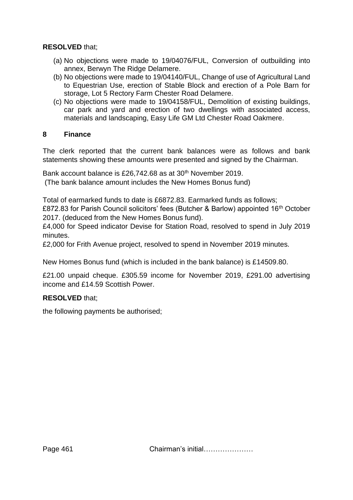## **RESOLVED** that;

- (a) No objections were made to 19/04076/FUL, Conversion of outbuilding into annex, Berwyn The Ridge Delamere.
- (b) No objections were made to 19/04140/FUL, Change of use of Agricultural Land to Equestrian Use, erection of Stable Block and erection of a Pole Barn for storage, Lot 5 Rectory Farm Chester Road Delamere.
- (c) No objections were made to 19/04158/FUL, Demolition of existing buildings, car park and yard and erection of two dwellings with associated access, materials and landscaping, Easy Life GM Ltd Chester Road Oakmere.

#### **8 Finance**

The clerk reported that the current bank balances were as follows and bank statements showing these amounts were presented and signed by the Chairman.

Bank account balance is £26,742.68 as at 30<sup>th</sup> November 2019. (The bank balance amount includes the New Homes Bonus fund)

Total of earmarked funds to date is £6872.83. Earmarked funds as follows;

£872.83 for Parish Council solicitors' fees (Butcher & Barlow) appointed 16<sup>th</sup> October 2017. (deduced from the New Homes Bonus fund).

£4,000 for Speed indicator Devise for Station Road, resolved to spend in July 2019 minutes.

£2,000 for Frith Avenue project, resolved to spend in November 2019 minutes.

New Homes Bonus fund (which is included in the bank balance) is £14509.80.

£21.00 unpaid cheque. £305.59 income for November 2019, £291.00 advertising income and £14.59 Scottish Power.

## **RESOLVED** that;

the following payments be authorised;

Page 461 Chairman's initial…………………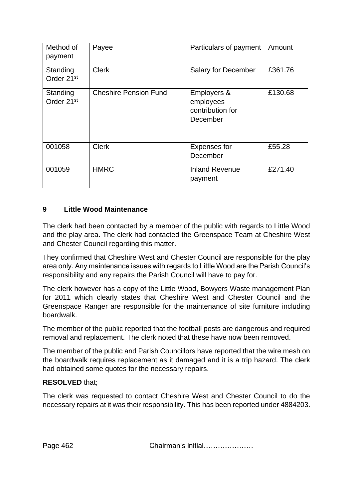| Method of<br>payment               | Payee                        | Particulars of payment                                   | Amount  |
|------------------------------------|------------------------------|----------------------------------------------------------|---------|
| Standing<br>Order 21 <sup>st</sup> | <b>Clerk</b>                 | <b>Salary for December</b>                               | £361.76 |
| Standing<br>Order 21 <sup>st</sup> | <b>Cheshire Pension Fund</b> | Employers &<br>employees<br>contribution for<br>December | £130.68 |
| 001058                             | <b>Clerk</b>                 | <b>Expenses for</b><br>December                          | £55.28  |
| 001059                             | <b>HMRC</b>                  | <b>Inland Revenue</b><br>payment                         | £271.40 |

# **9 Little Wood Maintenance**

The clerk had been contacted by a member of the public with regards to Little Wood and the play area. The clerk had contacted the Greenspace Team at Cheshire West and Chester Council regarding this matter.

They confirmed that Cheshire West and Chester Council are responsible for the play area only. Any maintenance issues with regards to Little Wood are the Parish Council's responsibility and any repairs the Parish Council will have to pay for.

The clerk however has a copy of the Little Wood, Bowyers Waste management Plan for 2011 which clearly states that Cheshire West and Chester Council and the Greenspace Ranger are responsible for the maintenance of site furniture including boardwalk.

The member of the public reported that the football posts are dangerous and required removal and replacement. The clerk noted that these have now been removed.

The member of the public and Parish Councillors have reported that the wire mesh on the boardwalk requires replacement as it damaged and it is a trip hazard. The clerk had obtained some quotes for the necessary repairs.

## **RESOLVED** that;

The clerk was requested to contact Cheshire West and Chester Council to do the necessary repairs at it was their responsibility. This has been reported under 4884203.

Page 462 Chairman's initial…………………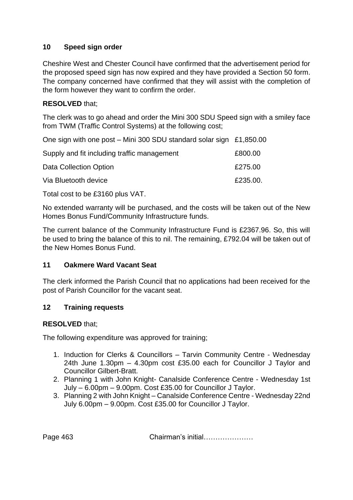## **10 Speed sign order**

Cheshire West and Chester Council have confirmed that the advertisement period for the proposed speed sign has now expired and they have provided a Section 50 form. The company concerned have confirmed that they will assist with the completion of the form however they want to confirm the order.

## **RESOLVED** that;

The clerk was to go ahead and order the Mini 300 SDU Speed sign with a smiley face from TWM (Traffic Control Systems) at the following cost;

One sign with one post – Mini 300 SDU standard solar sign £1,850.00

| Supply and fit including traffic management | £800.00  |
|---------------------------------------------|----------|
| Data Collection Option                      | £275.00  |
| Via Bluetooth device                        | £235.00. |

Total cost to be £3160 plus VAT.

No extended warranty will be purchased, and the costs will be taken out of the New Homes Bonus Fund/Community Infrastructure funds.

The current balance of the Community Infrastructure Fund is £2367.96. So, this will be used to bring the balance of this to nil. The remaining, £792.04 will be taken out of the New Homes Bonus Fund.

## **11 Oakmere Ward Vacant Seat**

The clerk informed the Parish Council that no applications had been received for the post of Parish Councillor for the vacant seat.

## **12 Training requests**

#### **RESOLVED** that;

The following expenditure was approved for training;

- 1. Induction for Clerks & Councillors Tarvin Community Centre Wednesday 24th June 1.30pm – 4.30pm cost £35.00 each for Councillor J Taylor and Councillor Gilbert-Bratt.
- 2. Planning 1 with John Knight- Canalside Conference Centre Wednesday 1st July – 6.00pm – 9.00pm. Cost £35.00 for Councillor J Taylor.
- 3. Planning 2 with John Knight Canalside Conference Centre Wednesday 22nd July 6.00pm – 9.00pm. Cost £35.00 for Councillor J Taylor.

Page 463 **Chairman's initial…………………**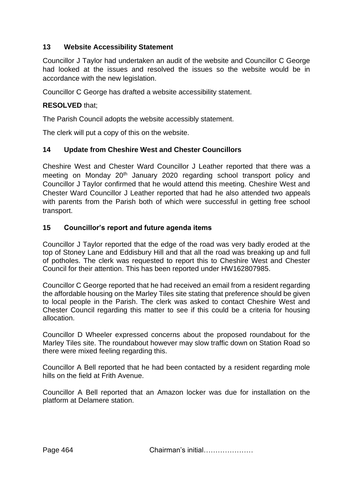# **13 Website Accessibility Statement**

Councillor J Taylor had undertaken an audit of the website and Councillor C George had looked at the issues and resolved the issues so the website would be in accordance with the new legislation.

Councillor C George has drafted a website accessibility statement.

## **RESOLVED** that;

The Parish Council adopts the website accessibly statement.

The clerk will put a copy of this on the website.

#### **14 Update from Cheshire West and Chester Councillors**

Cheshire West and Chester Ward Councillor J Leather reported that there was a meeting on Monday 20<sup>th</sup> January 2020 regarding school transport policy and Councillor J Taylor confirmed that he would attend this meeting. Cheshire West and Chester Ward Councillor J Leather reported that had he also attended two appeals with parents from the Parish both of which were successful in getting free school transport.

## **15 Councillor's report and future agenda items**

Councillor J Taylor reported that the edge of the road was very badly eroded at the top of Stoney Lane and Eddisbury Hill and that all the road was breaking up and full of potholes. The clerk was requested to report this to Cheshire West and Chester Council for their attention. This has been reported under HW162807985.

Councillor C George reported that he had received an email from a resident regarding the affordable housing on the Marley Tiles site stating that preference should be given to local people in the Parish. The clerk was asked to contact Cheshire West and Chester Council regarding this matter to see if this could be a criteria for housing allocation.

Councillor D Wheeler expressed concerns about the proposed roundabout for the Marley Tiles site. The roundabout however may slow traffic down on Station Road so there were mixed feeling regarding this.

Councillor A Bell reported that he had been contacted by a resident regarding mole hills on the field at Frith Avenue.

Councillor A Bell reported that an Amazon locker was due for installation on the platform at Delamere station.